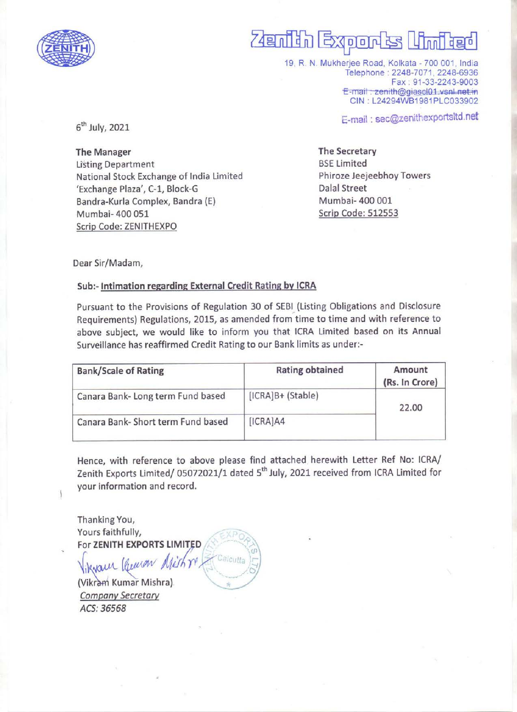

# enith Exports Umited  $\overline{R}$

19, R. N. Mukherjee Road, Kolkata - 700 001, India Telephone : 2248-7071, 2248-6936 Fax : 91-33-2243-9003 E-mail: zenith@giascl01.vsnl.net.in<br>CIN : L24294WB1981PLC033902

=-mail : sec@zenithexportsitd.net 6" July, 2021 E-mail : sec@z

The Manager The Secretary Listing Department **BSE** Limited National Stock Exchange of India Limited Phiroze Jeejeebhoy Towers 'Exchange Plaza', C-1, Block-G Dalal Street Bandra-Kurla Complex, Bandra (E) Mumbai- 400 001 Mumbai- 400 051 Scrip Code: 512553 Scrip Code: ZENITHEXPO  $F(H)$ <br>  $\overrightarrow{b}$ <sup>th</sup> July, 2021<br>
The Manager<br>
Listing Department<br>
"Exchange Plaza", C-1, Block-G<br>
"Exchange Plaza", C-1, Block-G<br>
Bandra-Kurla Complex, Bandra (E)<br>
Mumbai- 400 051<br>
Scrip Code: ZENITHEXPO<br>
Dear Sir/Madam,<br> 6<sup>th</sup> July, 2021<br>
The Manager<br>
Listing Department<br>
National Stock Exchange of India Lin<br>
'Exchange Plaza', C-1, Block-G<br>
Bandra-Kurla Complex, Bandra (E)<br>
Mumbai- 400 051<br>
<u>Scrip Code: ZENITHEXPO</u><br>
Dear Sir/Madam,<br> **Sub:-** 

Dear Sir/Madam,

### Sub:- Intimation regarding External Credit Rating by ICRA

Pursuant to the Provisions of Regulation 30 of SEBI (Listing Obligations and Disclosure Requirements) Regulations, 2015, as amended from time to time and with reference to above subject, we would like to inform you that ICRA Limited based on its Annual Surveillance has reaffirmed Credit Rating to our Bank limits as under:-

| <b>Bank/Scale of Rating</b>        | <b>Rating obtained</b> | Amount<br>(Rs. In Crore) |
|------------------------------------|------------------------|--------------------------|
| Canara Bank- Long term Fund based  | [ICRA]B+ (Stable)      | 22.00                    |
| Canara Bank- Short term Fund based | [ICRA]AA               |                          |

Hence, with reference to above please find attached herewith Letter Ref No: ICRA/ Zenith Exports Limited/ 05072021/1 dated 5" July, 2021 received from ICRA Limited for your information and record.

Thanking You, Yours faithfully, For ZENITH EXPORTS LIMITED

vaur Receion Michre cutta

(Vikram Kumar Mishra). Company Secretary ACS: 36568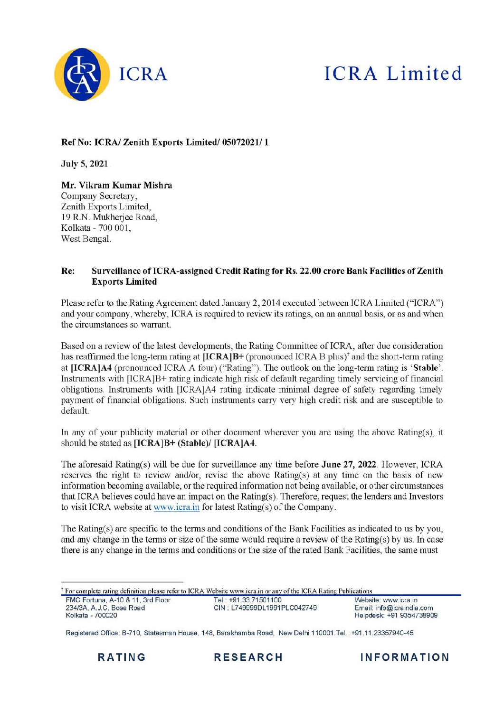

# ICRA ICRA Limited

### Ref No: ICRA/ Zenith Exports Limited/ 05072021/ 1

July 5, 2021

Mr. Vikram Kumar Mishra Company Secretary, Zenith Exports Limited, 19 R.N. Mukherjee Road, Kolkata - 700 001, West Bengal.

#### Re: Surveillance of ICRA-assigned Credit Rating for Rs. 22.00 crore Bank Facilities of Zenith Exports Limited

Please refer to the Rating Agreement dated January 2, 2014 executed between ICRA Limited ("ICRA") and your company, whereby, ICRA is required to review its ratings, on an annual basis, or as and when the circumstances so warrant.

Based on a review of the latest developments, the Rating Committee of ICRA, after due consideration has reaffirmed the long-term rating at [ICRA]B+ (pronounced ICRA B plus)<sup>+</sup> and the short-term rating at [ICRA]A4 (pronounced ICRA A four) ("Rating"). The outlook on the long-term rating is 'Stable'. Instruments with [ICRA]B+ rating indicate high risk of default regarding timely servicing of financial obligations. Instruments with [ICRA]A4 rating indicate minimal degree of safety regarding timely payment of financial obligations. Such instruments carry very high credit risk and are susceptible to default. the circumstances so warrant.<br>Based on a review of the latest devel-<br>has reaffirmed the long-term rating at<br>at [ICRA]A4 (pronounced ICRA A 1<br>Instruments with [ICRA]B+ rating in<br>obligations. Instruments with [ICRA<br>payment o

In any of your publicity material or other document wherever you are using the above Rating(s), it should be stated as [ICRA]B+ (Stable)/ [ICRA]A4.

The aforesaid Rating(s) will be due for surveillance any time before June 27, 2022. However, ICRA reserves the right to review and/or, revise the above Rating(s) at any time on the basis of new information becoming available, or the required information not being available, or other circumstances that ICRA believes could have an impact on the Rating(s). Therefore, request the lenders and Investors to visit ICRA website at www.icra.in for latest Rating(s) of the Company. The aforesaid R<br>reserves the rig<br>information beco<br>that ICRA believ<br>to visit ICRA we<br>The Rating(s) ar<br>and any change<br>there is any chan

The Rating(s) are specific to the terms and conditions of the Bank Facilities as indicated to us by you, and any change in the terms or size of the same would require a review of the Rating(s) by us. In case there is any change in the terms and conditions or the size of the rated Bank Facilities, the same must

\* For complete rating definition please refer to ICRA Website www.icra.in or any of the ICRA Rating Publications

| FMC Fortuna, A-10 & 11, 3rd Floor | Tel.: +91.33.71501100       | Website: www.icra.in      |
|-----------------------------------|-----------------------------|---------------------------|
| 234/3A, A.J.C. Bose Road          | CIN: L749999DL1991PLC042749 | Email: info@icraindia.com |
| Kolkata - 700020                  |                             | Helpdesk: +91 9354738909  |

Registered Office: B-710, Statesman House, 148, Barakhamba Road, New Delhi 110001.Tel. :+91.11.23357940-45

RATING RESEARCH INFORMATION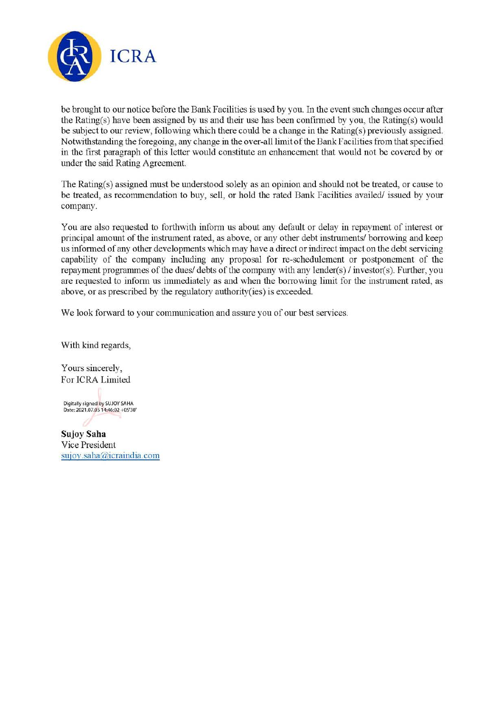

be brought to our notice before the Bank Facilities is used by you. In the event such changes occur after the Rating(s) have been assigned by us and their use has been confirmed by you, the Rating(s) would be subject to our review, following which there could be a change in the Rating(s) previously assigned. Notwithstanding the foregoing, any change in the over-all limit of the Bank Facilities from that specified in the first paragraph of this letter would constitute an enhancement that would not be covered by or under the said Rating Agreement.

The Rating(s) assigned must be understood solely as an opinion and should not be treated, or cause to be treated, as recommendation to buy, sell, or hold the rated Bank Facilities availed/ issued by your company.

You are also requested to forthwith inform us about any default or delay in repayment of interest or principal amount of the instrument rated, as above, or any other debt instruments/ borrowing and keep us informed of any other developments which may have a direct or indirect impact on the debt servicing capability of the company including any proposal for re-schedulement or postponement of the repayment programmes of the dues/ debts of the company with any lender(s) / investor(s). Further, you are requested to inform us immediately as and when the borrowing limit for the mstrument rated, as above, or as prescribed by the regulatory authority(ies) is exceeded.

We look forward to your communication and assure you of our best services.

With kind regards,

Yours sincerely, For ICRA Limited

Digitally signed by SUJOY SAHA Date: 2021.07.05 14:46:02 +05'30'

Sujoy Saha Vice President sujoy.saha@icraindia.com